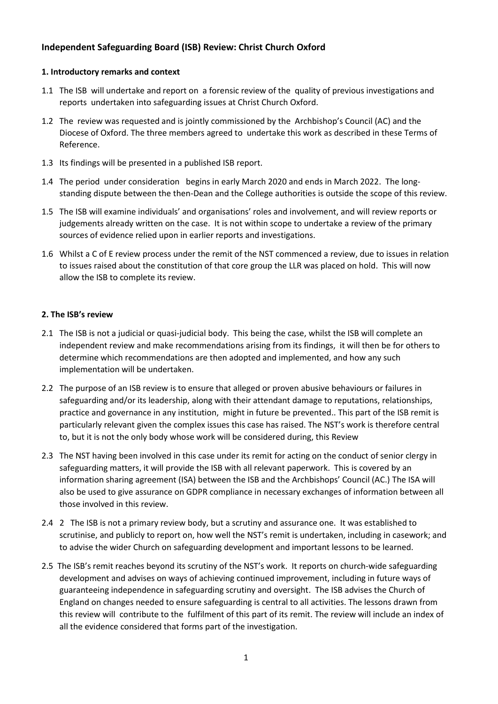# **Independent Safeguarding Board (ISB) Review: Christ Church Oxford**

## **1. Introductory remarks and context**

- 1.1 The ISB will undertake and report on a forensic review of the quality of previous investigations and reports undertaken into safeguarding issues at Christ Church Oxford.
- 1.2 The review was requested and is jointly commissioned by the Archbishop's Council (AC) and the Diocese of Oxford. The three members agreed to undertake this work as described in these Terms of Reference.
- 1.3 Its findings will be presented in a published ISB report.
- 1.4 The period under consideration begins in early March 2020 and ends in March 2022. The longstanding dispute between the then-Dean and the College authorities is outside the scope of this review.
- 1.5 The ISB will examine individuals' and organisations' roles and involvement, and will review reports or judgements already written on the case. It is not within scope to undertake a review of the primary sources of evidence relied upon in earlier reports and investigations.
- 1.6 Whilst a C of E review process under the remit of the NST commenced a review, due to issues in relation to issues raised about the constitution of that core group the LLR was placed on hold. This will now allow the ISB to complete its review.

## **2. The ISB's review**

- 2.1 The ISB is not a judicial or quasi-judicial body. This being the case, whilst the ISB will complete an independent review and make recommendations arising from its findings, it will then be for others to determine which recommendations are then adopted and implemented, and how any such implementation will be undertaken.
- 2.2 The purpose of an ISB review is to ensure that alleged or proven abusive behaviours or failures in safeguarding and/or its leadership, along with their attendant damage to reputations, relationships, practice and governance in any institution, might in future be prevented.. This part of the ISB remit is particularly relevant given the complex issues this case has raised. The NST's work is therefore central to, but it is not the only body whose work will be considered during, this Review
- 2.3 The NST having been involved in this case under its remit for acting on the conduct of senior clergy in safeguarding matters, it will provide the ISB with all relevant paperwork. This is covered by an information sharing agreement (ISA) between the ISB and the Archbishops' Council (AC.) The ISA will also be used to give assurance on GDPR compliance in necessary exchanges of information between all those involved in this review.
- 2.4 2 The ISB is not a primary review body, but a scrutiny and assurance one. It was established to scrutinise, and publicly to report on, how well the NST's remit is undertaken, including in casework; and to advise the wider Church on safeguarding development and important lessons to be learned.
- 2.5 The ISB's remit reaches beyond its scrutiny of the NST's work. It reports on church-wide safeguarding development and advises on ways of achieving continued improvement, including in future ways of guaranteeing independence in safeguarding scrutiny and oversight. The ISB advises the Church of England on changes needed to ensure safeguarding is central to all activities. The lessons drawn from this review will contribute to the fulfilment of this part of its remit. The review will include an index of all the evidence considered that forms part of the investigation.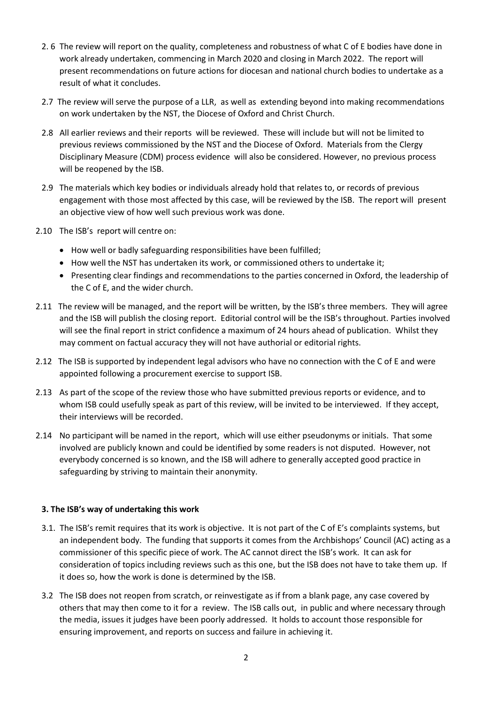- 2. 6 The review will report on the quality, completeness and robustness of what C of E bodies have done in work already undertaken, commencing in March 2020 and closing in March 2022. The report will present recommendations on future actions for diocesan and national church bodies to undertake as a result of what it concludes.
- 2.7 The review will serve the purpose of a LLR, as well as extending beyond into making recommendations on work undertaken by the NST, the Diocese of Oxford and Christ Church.
- 2.8 All earlier reviews and their reports will be reviewed. These will include but will not be limited to previous reviews commissioned by the NST and the Diocese of Oxford. Materials from the Clergy Disciplinary Measure (CDM) process evidence will also be considered. However, no previous process will be reopened by the ISB.
- 2.9 The materials which key bodies or individuals already hold that relates to, or records of previous engagement with those most affected by this case, will be reviewed by the ISB. The report will present an objective view of how well such previous work was done.
- 2.10 The ISB's report will centre on:
	- How well or badly safeguarding responsibilities have been fulfilled;
	- How well the NST has undertaken its work, or commissioned others to undertake it;
	- Presenting clear findings and recommendations to the parties concerned in Oxford, the leadership of the C of E, and the wider church.
- 2.11 The review will be managed, and the report will be written, by the ISB's three members. They will agree and the ISB will publish the closing report. Editorial control will be the ISB's throughout. Parties involved will see the final report in strict confidence a maximum of 24 hours ahead of publication. Whilst they may comment on factual accuracy they will not have authorial or editorial rights.
- 2.12 The ISB is supported by independent legal advisors who have no connection with the C of E and were appointed following a procurement exercise to support ISB.
- 2.13 As part of the scope of the review those who have submitted previous reports or evidence, and to whom ISB could usefully speak as part of this review, will be invited to be interviewed. If they accept, their interviews will be recorded.
- 2.14 No participant will be named in the report, which will use either pseudonyms or initials. That some involved are publicly known and could be identified by some readers is not disputed. However, not everybody concerned is so known, and the ISB will adhere to generally accepted good practice in safeguarding by striving to maintain their anonymity.

#### **3. The ISB's way of undertaking this work**

- 3.1. The ISB's remit requires that its work is objective. It is not part of the C of E's complaints systems, but an independent body. The funding that supports it comes from the Archbishops' Council (AC) acting as a commissioner of this specific piece of work. The AC cannot direct the ISB's work. It can ask for consideration of topics including reviews such as this one, but the ISB does not have to take them up. If it does so, how the work is done is determined by the ISB.
- 3.2 The ISB does not reopen from scratch, or reinvestigate as if from a blank page, any case covered by others that may then come to it for a review. The ISB calls out, in public and where necessary through the media, issues it judges have been poorly addressed. It holds to account those responsible for ensuring improvement, and reports on success and failure in achieving it.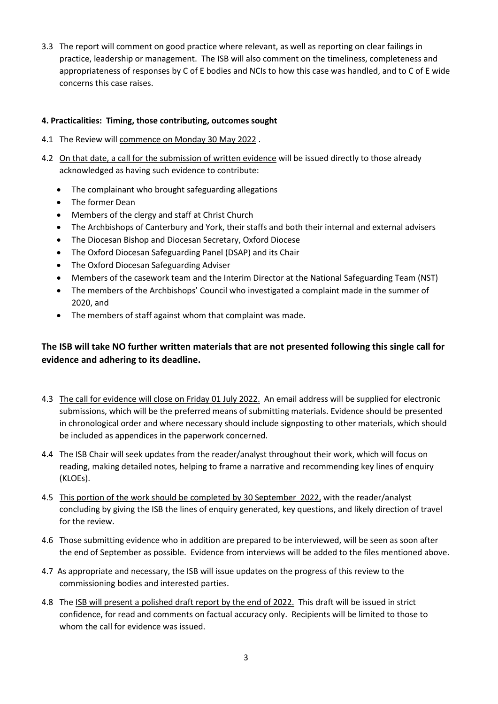3.3 The report will comment on good practice where relevant, as well as reporting on clear failings in practice, leadership or management. The ISB will also comment on the timeliness, completeness and appropriateness of responses by C of E bodies and NCIs to how this case was handled, and to C of E wide concerns this case raises.

# **4. Practicalities: Timing, those contributing, outcomes sought**

- 4.1 The Review will commence on Monday 30 May 2022 .
- 4.2 On that date, a call for the submission of written evidence will be issued directly to those already acknowledged as having such evidence to contribute:
	- The complainant who brought safeguarding allegations
	- The former Dean
	- Members of the clergy and staff at Christ Church
	- The Archbishops of Canterbury and York, their staffs and both their internal and external advisers
	- The Diocesan Bishop and Diocesan Secretary, Oxford Diocese
	- The Oxford Diocesan Safeguarding Panel (DSAP) and its Chair
	- The Oxford Diocesan Safeguarding Adviser
	- Members of the casework team and the Interim Director at the National Safeguarding Team (NST)
	- The members of the Archbishops' Council who investigated a complaint made in the summer of 2020, and
	- The members of staff against whom that complaint was made.

# **The ISB will take NO further written materials that are not presented following this single call for evidence and adhering to its deadline.**

- 4.3 The call for evidence will close on Friday 01 July 2022. An email address will be supplied for electronic submissions, which will be the preferred means of submitting materials. Evidence should be presented in chronological order and where necessary should include signposting to other materials, which should be included as appendices in the paperwork concerned.
- 4.4 The ISB Chair will seek updates from the reader/analyst throughout their work, which will focus on reading, making detailed notes, helping to frame a narrative and recommending key lines of enquiry (KLOEs).
- 4.5 This portion of the work should be completed by 30 September 2022, with the reader/analyst concluding by giving the ISB the lines of enquiry generated, key questions, and likely direction of travel for the review.
- 4.6 Those submitting evidence who in addition are prepared to be interviewed, will be seen as soon after the end of September as possible. Evidence from interviews will be added to the files mentioned above.
- 4.7 As appropriate and necessary, the ISB will issue updates on the progress of this review to the commissioning bodies and interested parties.
- 4.8 The ISB will present a polished draft report by the end of 2022. This draft will be issued in strict confidence, for read and comments on factual accuracy only. Recipients will be limited to those to whom the call for evidence was issued.